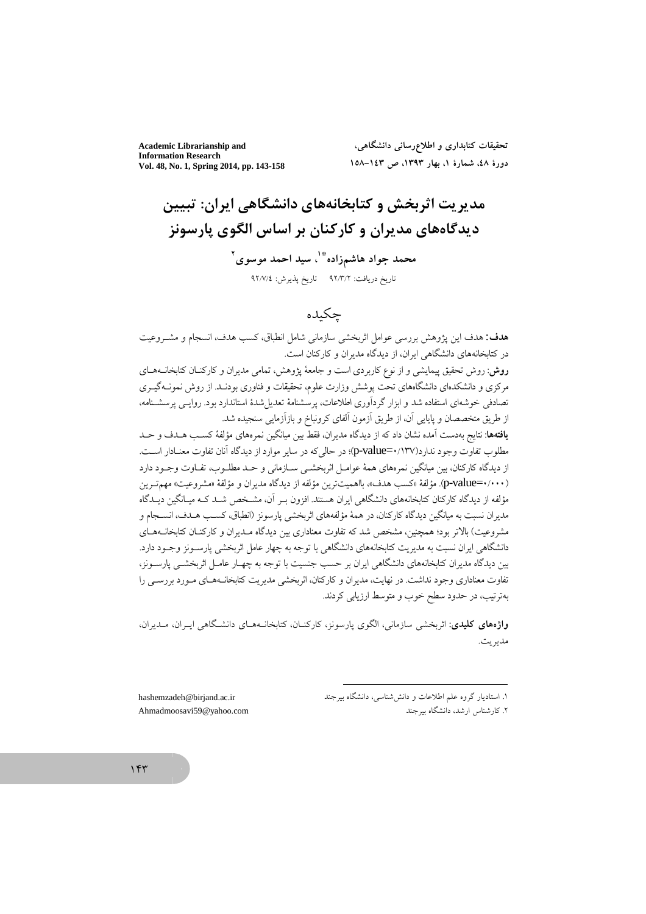**Academic Librarianship and Information Research** Vol. 48, No. 1, Spring 2014, pp. 143-158

تحقیقات کتابداری و اطلاع٫رسانی دانشگاهی، دورهٔ ٤٨، شمارهٔ ١، بهار ١٣٩٣، ص ١٤٣-١٥٨

مدیریت اثربخش و کتابخانههای دانشگاهی ایران: تبیین ديدگاههاي مديران و كاركنان بر اساس الگوي پارسونز محمد جواد هاشمزاده په سید احمد موسوی ۲

تاریخ دریافت: ۹۲/۳/۲ تاریخ پذیرش: ۹۲/۷/٤

# چكىدە

هدف: هدف اين يژوهش بررسي عوامل اثربخشي سازماني شامل انطباق، كسب هدف، انسجام و مشـروعيت در کتابخانههای دانشگاهی ایران، از دیدگاه مدیران و کارکنان است. روش: روش تحقیق پیمایشی و از نوع کاربردی است و جامعهٔ یژوهش، تمامی مدیران و کارکنـان کتابخانــههــای مرکزی و دانشکدمای دانشگاههای تحت یوشش وزارت علوم، تحقیقات و فناوری بودنـد. از روش نمونــهگیــری تصادفی خوشهای استفاده شد و ابزار گردآوری اطلاعات، پرسشنامهٔ تعدیل شدهٔ استاندارد بود. روایـبی پرسشـنامه،

از طريق متخصصان و پايايي آن، از طريق آزمون آلفاي كرونباخ و بازآزمايي سنجيده شد. **یافتهها**: نتایج بهدست آمده نشان داد که از دیدگاه مدیران، فقط بین میانگین نمرههای مؤلفهٔ کسـب هــدف و حــد مطلوب تفاوت وجود ندارد(۱۳۷/-p-value=)؛ در حالي كه در ساير موارد از ديدگاه آنان تفاوت معنـادار اسـت. از دیدگاه کارکنان، بین میانگین نمرههای همهٔ عوامـل اثربخشـی سـازمانی و حـد مطلــوب، تفــاوت وجــود دارد (p-value=٠/٠٠٠). مؤلفة «كسب هدف»، بالهميتترين مؤلفه از ديدگاه مديران و مؤلفة «مشروعيت» مهمترين مؤلفه از دیدگاه کارکنان کتابخانههای دانشگاهی ایران هستند. افزون بـر آن، مشـخص شـد کـه میـانگین دیـدگاه مديران نسبت به ميانگين ديدگاه كاركنان، در همهٔ مؤلفههاي اثربخشي پارسونز (انطباق، كسـب هـدف، انســجام و مشروعیت) بالاتر بود؛ همچنین، مشخص شد که تفاوت معناداری بین دیدگاه مـدیران و کارکنــان کتابخانــههــای .<br>دانشگاهی ایران نسبت به مدیریت کتابخانههای دانشگاهی با توجه به چهار عامل اثربخشی پارسـونز وجـود دارد. بین دیدگاه مدیران کتابخانههای دانشگاهی ایران بر حسب جنسیت با توجه به چهـار عامـل اثربخشــی پارســونز، تفاوت معناداری وجود نداشت. در نهایت، مدیران و کارکنان، اثربخشی مدیریت کتابخانــههــای مــورد بررســی را بهترتيب، در حدود سطح خوب و متوسط ارزيابي كردند.

و**اژههای کلیدی**: اثریخشی سازمانی، الگوی پارسونز، کارکنیان، کتابخانیههیای دانشگاهی ایران، میدیران، مديريت.

hashemzadeh@birjand.ac.ir Ahmadmoosavi59@yahoo.com

 $155$ 

۱. استادیار گروه علم اطلاعات و دانش شناسی، دانشگاه بیر جند ۲. کارشناس ارشد، دانشگاه بیر جند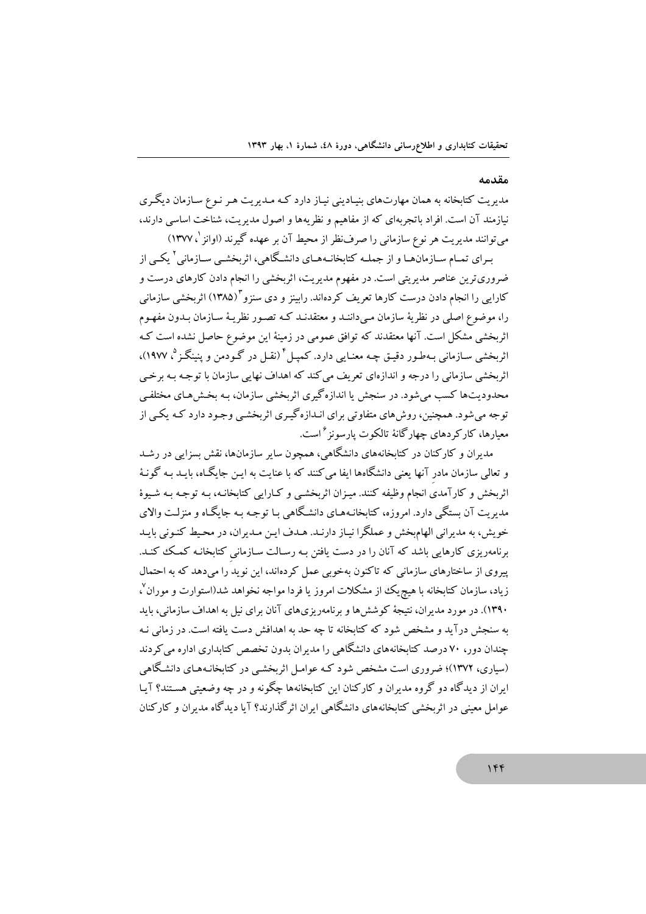#### مقدمه

مدیریت کتابخانه به همان مهارتهای بنیـادینی نیـاز دارد کـه مـدیریت هـر نـوع سـازمان دیگـری نیازمند آن است. افراد باتجربهای که از مفاهیم و نظریهها و اصول مدیریت، شناخت اساسی دارند، می توانند مدیریت هر نوع سازمانی را صرفنظر از محیط آن بر عهده گیرند (اوانز <sup>(</sup>، ۱۳۷۷)

بـرای تمـام سـازمانهـا و از جملـه کتابخانـههـای دانشـگاهی، اثربخشـی سـازمانی ` یکـی از ضروریترین عناصر مدیریتی است. در مفهوم مدیریت، اثربخشی را انجام دادن کارهای درست و کارایی را انجام دادن درست کارها تعریف کردهاند. رابینز و دی سنزو ۱۳۸۵) اثربخشی سازمانی را، موضوع اصلي در نظريهٔ سازمان مـيداننـد و معتقدنـد کـه تصـور نظريـهٔ سـازمان بـدون مفهـوم اثربخشی مشکل است. آنها معتقدند که توافق عمومی در زمینهٔ این موضوع حاصل نشده است ک اثريخشي سـازماني بـهطـور دقيــق چـه معنــابي دارد. كـميــا گرنقــا در گــودمن و پنبنگــز<sup>ه</sup>، ۱۹۷۷)، اثریخشی سازمانی را درجه و اندازهای تعریف می کند که اهداف نهایی سازمان با توجـه بـه برخـی محدودیتها کسب می شود. در سنجش یا اندازهگیری اثربخشی سازمان، بـه بخش هـای مختلفـی ۔<br>توجه می شود. همچنین، روش های متفاوتی برای انـدازه گیـری اثربخشـی وجـود دارد کـه یکـی از معیارها، کارکر دهای جهار گانهٔ تالکوت بارسونز <sup>۶</sup> است.

مدیران و کارکنان در کتابخانههای دانشگاهی، همچون سایر سازمانها، نقش سزایی در رشد و تعالمی سازمان مادر آنها یعنی دانشگاهها ایفا می کنند که با عنایت به ایـن جایگـاه، بایـد بـه گونـهٔ اثربخش و کارآمدی انجام وظیفه کنند. میـزان اثربخشـی و کـارایی کتابخانـه، بـه توجـه بـه شـیوهٔ مدبریت آن بستگی دارد. امروزه، کتابخانـههـای دانشـگاهی بـا توجـه بـه جایگـاه و منزلـت والای .<br>خو پش، به مدیرانی الهام یخش و عملگرا نبـاز دارنـد. هـدف ایـن مـدیران، در محبط کنـونی بایـد برنامهریزی کارهایی باشد که آنان را در دست یافتن بـه رسـالت سـازمانی کتابخانـه کمـک کنـد. پیروی از ساختارهای سازمانی که تاکنون بهخوبی عمل کردهاند، این نوید را میدهد که به احتمال زیاد، سازمان کتابخانه با هیچریک از مشکلات امروز یا فردا مواجه نخواهد شد(استوارت و موران<sup>۷</sup>، ۱۳۹۰). در مورد مدیران، نتیجهٔ کوشش۵ا و برنامهریزیهای آنان برای نیل به اهداف سازمانی، باید به سنجش درآید و مشخص شود که کتابخانه تا چه حد به اهدافش دست یافته است. در زمانی نـه .<br>چندان دور، ۷۰ درصد کتابخانههای دانشگاهی را مدیران بدون تخصص کتابداری اداره می کردند (سیاری، ۱۳۷۲)؛ ضروری است مشخص شود کـه عوامـل اثربخشـی در کتابخانـههـای دانشـگاهی ایران از دیدگاه دو گروه مدیران و کارکنان این کتابخانهها چگونه و در چه وضعیتی هستند؟ آبیا عوامل معینی در اثریخشی کتابخانههای دانشگاهی ایران اثر گذارند؟ آیا دیدگاه مدیران و کارکنان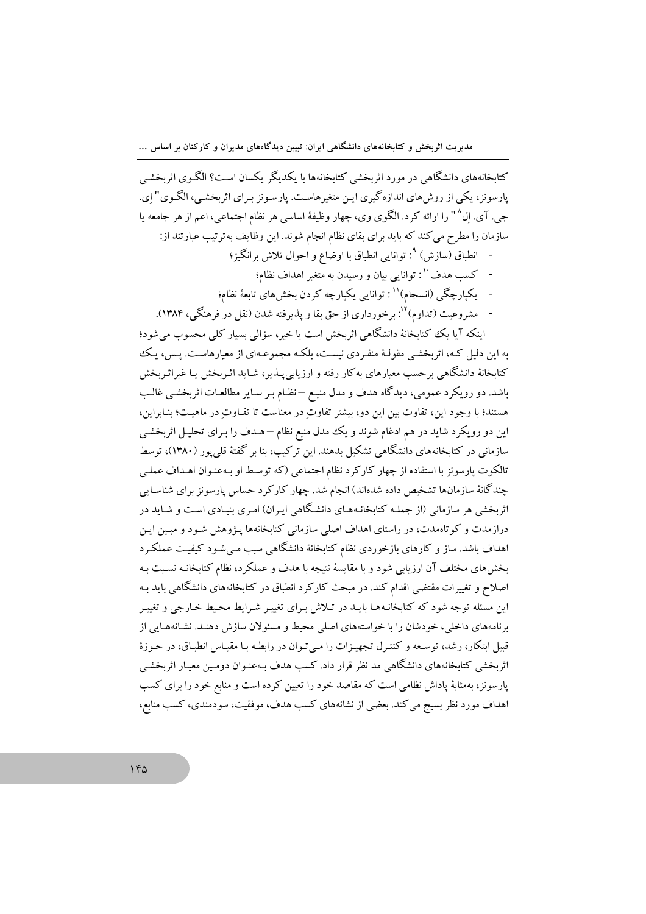کتابخانههای دانشگاهی در مورد اثربخشی کتابخانهها با یکدیگر یکسان است؟ الگـوی اثربخشـی پارسونز، یکی از روش های اندازه گیری ایـن متغیر هاسـت. پارسـونز بـرای اثربخشـی، الگـوی" ای. جي. آي. اِل^" را ارائه كرد. الگوي وي، چهار وظيفهٔ اساسي هر نظام اجتماعي، اعم از هر جامعه يا سازمان را مطرح می کند که باید برای بقای نظام انجام شوند. این وظایف بهترتیب عبارتند از:

- انطباق (سازش) °: توانایی انطباق با اوضاع و احوال تلاش برانگیز؛
	- کسب هدف<sup>۱۰</sup>: توانایی بیان و رسیدن به متغیر اهداف نظام؛
- یکپارچگی (انسجام)<sup>۱۱</sup> : توانایی یکپارچه کردن بخشهای تابعهٔ نظام؛
- مشروعيت (تداوم) ``: برخورداري از حق بقا و يذيرفته شدن (نقل در فرهنگي، ۱۳۸۴).

اینکه آیا یک کتابخانهٔ دانشگاهی اثربخش است یا خیر، سؤالی بسیار کلی محسوب میشود؛ به این دلیل کـه، اثربخشـی مقولـهٔ منفـردی نیسـت، بلکـه مجموعـهای از معیارهاسـت. پـس، پـک کتابخانهٔ دانشگاهی برحسب معیارهای بهکار رفته و ارزیابی پـذیر، شـاید اثـربخش پـا غیراثـربخش باشد. دو رویکرد عمومی، دیدگاه هدف و مدل منبع –نظـام بـر سـایر مطالعـات اثربخشـی غالـب هستند؛ با وجود این، تفاوت بین این دو، بیشتر تفاوتِ در معناست تا تفـاوتِ در ماهیـت؛ بنـابراین، این دو رویکرد شاید در هم ادغام شوند و یک مدل منبع نظام –هـدف را بـرای تحلیـل اثربخشـی سازمانی در کتابخانههای دانشگاهی تشکیل بدهند. این ترکیب، بنا بر گفتهٔ قلی پور (۱۳۸۰)، توسط تالکوت پارسونز با استفاده از چهار کارکرد نظام اجتماعی (که توسط او بـهعنـوان اهـداف عملـی چندگانهٔ سازمانها تشخیص داده شدهاند) انجام شد. چهار کارکرد حساس پارسونز برای شناسـایی اثربخشی هر سازمانی (از جملـه کتابخانـههـای دانشـگاهی ایـران) امـری بنیـادی اسـت و شـایـد در درازمدت و کوتاهمدت، در راستای اهداف اصلی سازمانی کتابخانهها پـژوهش شـود و مبـین ایـن اهداف باشد. ساز و کارهای بازخوردی نظام کتابخانهٔ دانشگاهی سبب مـیشـود کیفیـت عملکـرد بخشهای مختلف آن ارزیابی شود و با مقایسهٔ نتیجه با هدف و عملکرد، نظام کتابخانـه نسـبت بـه اصلاح و تغییرات مقتضی اقدام کند. در مبحث کارکرد انطباق در کتابخانههای دانشگاهی باید بـه این مسئله توجه شود که کتابخانـههـا بایـد در تـلاش بـرای تغییـر شـرایط محـیط خـارجی و تغییـر برنامههای داخلی، خودشان را با خواستههای اصلی محیط و مسئولان سازش دهنـد. نشـانههـایی از قبیل ابتکار، رشد، توسعه و کنتـرل تجهیـزات را مـیتـوان در رابطـه بـا مقیـاس انطبـاق، در حـوزهٔ اثربخشی کتابخانههای دانشگاهی مد نظر قرار داد. کسب هدف بـهعنـوان دومـین معیـار اثربخشـی پارسونز، بهمثابهٔ پاداش نظامی است که مقاصد خود را تعیین کرده است و منابع خود را برای کسب اهداف مورد نظر بسیج می کند. بعضی از نشانههای کسب هدف، موفقیت، سودمندی، کسب منابع،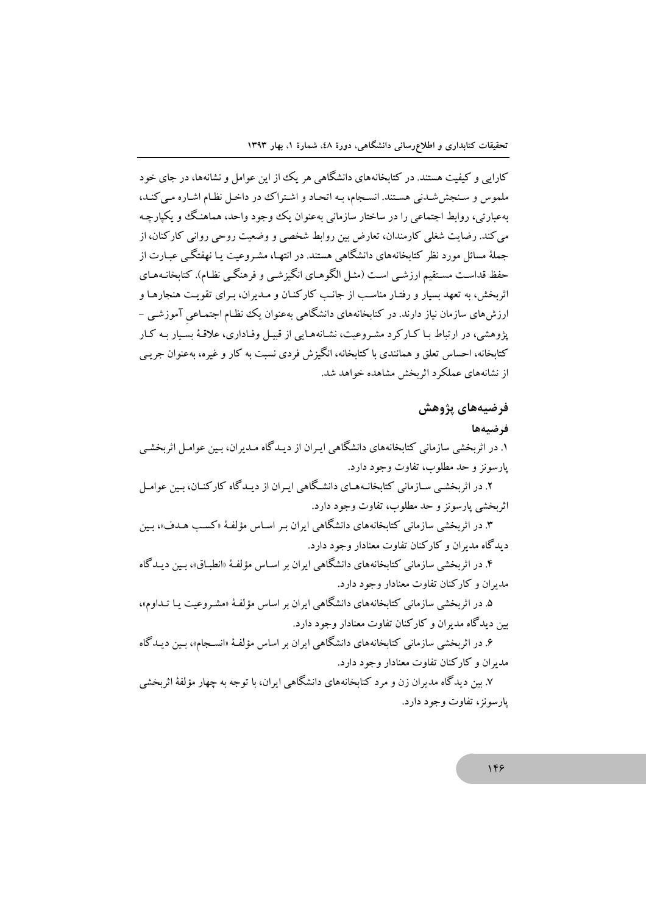کارایی و کیفیت هستند. در کتابخانههای دانشگاهی هر یک از این عوامل و نشانهها، در جای خود ملموس و سنجش شدنی هستند. انسجام، بـه اتحـاد و اشـتراک در داخـل نظـام اشـاره مـی کنـد، بهعبارتی، روابط اجتماعی را در ساختار سازمانی بهعنوان یک وجود واحد، هماهنگ و یکپارچـه می کند. رضایت شغلی کارمندان، تعارض بین روابط شخصی و وضعیت روحی روانی کارکنان، از جملهٔ مسائل مورد نظر کتابخانههای دانشگاهی هستند. در انتهـا، مشـروعیت بـا نهفتگـی عبـارت از حفظ قداست مستقیم ارزشـی اسـت (مثـل الگوهـای انگیزشـی و فرهنگـی نظـام). کتابخانـههـای اثربخش، به تعهد بسیار و رفتـار مناسـب از جانـب کارکنـان و مـدیران، بـرای تقویـت هنجارهـا و ارزش های سازمان نیاز دارند. در کتابخانههای دانشگاهی بهعنوان یک نظام اجتمـاعی آموزشـی – پژوهشی، در ارتباط بـا کـارکرد مشـروعیت، نشـانههـایی از قبیـل وفـاداری، علاقـهٔ بسـیار بـه کـار کتابخانه، احساس تعلق و همانندی با کتابخانه، انگیزش فردی نسبت به کار و غیره، بهعنوان جریبی از نشانههای عملکرد اثربخش مشاهده خواهد شد.

# فرضيههاي پژوهش

فرضيهها

۱. در اثربخشی سازمانی کتابخانههای دانشگاهی ایـران از دیـدگاه مـدیران، بـین عوامـل اثربخشـی پارسونز و حد مطلوب، تفاوت وجود دارد.

۲. در اثربخشبی سـازمانی کتابخانـههـای دانشـگاهی ایـران از دیـدگاه کارکنـان، بـین عوامـل اثربخشي يارسونز و حد مطلوب، تفاوت وجود دارد.

۳. در اثربخشی سازمانی کتابخانههای دانشگاهی ایران بـر اسـاس مؤلفـهٔ «کسـب هـدف»، بـین د بدگاه مديران و کارکنان تفاوت معنادار وجود دارد.

۴. در اثربخشی سازمانی کتابخانههای دانشگاهی ایران بر اسـاس مؤلفـهٔ «انطبـاق»، بـین دیـدگاه مدیران و کارکنان تفاوت معنادار وجود دارد.

۵. در اثربخشی سازمانی کتابخانههای دانشگاهی ایران بر اساس مؤلفهٔ «مشـروعیت یـا تـداوم»، بین دیدگاه مدیران و کارکنان تفاوت معنادار وجود دارد.

۶. در اثربخشی سازمانی کتابخانههای دانشگاهی ایران بر اساس مؤلفهٔ «انسـجام»، بـین دیـدگاه مدبران و کارکنان تفاوت معنادار وجود دارد.

۷. بین دیدگاه مدیران زن و مرد کتابخانههای دانشگاهی ایران، با توجه به چهار مؤلفهٔ اثربخشی يارسونز، تفاوت وجود دارد.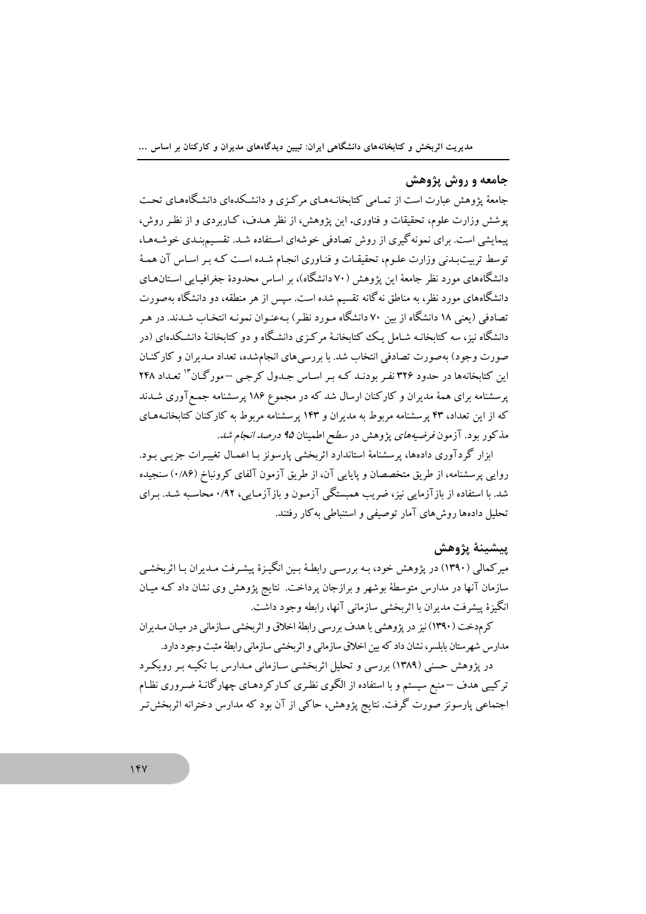### جامعه و روش پژوهش

جامعهٔ پژوهش عبارت است از تمـامی کتابخانـههـای مرکـزی و دانشـکدهای دانشـگاههـای تحـت یوشش وزارت علوم، تحقیقات و فناوری. این پژوهش، از نظر هـدف، کـاربردی و از نظـر روش، یپمایشی است. برای نمونه گیری از روش تصادفی خوشهای استفاده شـد. تقسیم بنـدی خوشـههـا، توسط تربیتبدنی وزارت علـوم، تحقیقـات و فنـاوری انجـام شـده اسـت کـه بـر اسـاس آن همـهٔ دانشگاههای مورد نظر جامعهٔ این یژوهش (۷۰ دانشگاه)، بر اساس محدودهٔ جغرافیـایی اسـتانهـای دانشگاههای مورد نظر، به مناطق نهگانه تقسیم شده است. سپس از هر منطقه، دو دانشگاه بهصورت تصادفی (یعنی ۱۸ دانشگاه از بین ۷۰ دانشگاه مـورد نظـر) بـهعنـوان نمونـه انتخـاب شـدند. در هـر دانشگاه نیز، سه کتابخانـه شـامل بـک کتابخانـهٔ مرکـزی دانشـگاه و دو کتابخانـهٔ دانشـکدهای (در صورت وجود) بهصورت تصادفي انتخاب شد. با بررسي هاي انجامشده، تعداد مـديران و كاركنـان این کتابخانهها در حدود ۳۲۶ نفر بودنـد کـه بـر اسـاس جـدول کرچـی –مورگـان<sup>۱۳</sup> تعـداد ۲۴۸ یر سشنامه برای همهٔ مدیران و کارکنان ارسال شد که در مجموع ۱۸۶ پر سشنامه جمع آوری شـدند که از این تعداد، ۴۳ پرسشنامه مربوط به مدیران و ۱۴۳ پرسشنامه مربوط به کارکنان کتابخانـههـای مذکور بود. آزمون *فرضیههای پژوهش در سطح اطمینان ۹۵ درصد انجام شد.* 

ابزار گردآوری دادهها، پرسشنامهٔ استاندارد اثربخشی پارسونز بـا اعمـال تغییـرات جزیـبی بـود. روایی پرسشنامه، از طریق متخصصان و پایایی آن، از طریق آزمون آلفای کرونباخ (۱٬۸۶) سنجیده شد. با استفاده از باز آزمایی نیز، ضربب همستگی آزمون و باز آزمایی، ۰/۹۲ محاسبه شـد. بـرای تحلیل دادهها روش های آمار توصیفی و استنباطی به کار رفتند.

# ىىشىنۀ يژوھش

میر کمالی (۱۳۹۰) در یژوهش خود، بـه بررسـی رابطـهٔ بـین انگیـزهٔ پیشـرفت مـدیران بـا اثربخشـی سازمان آنها در مدارس متوسطهٔ بوشهر و برازجان پرداخت. نتایج پژوهش وی نشان داد کـه میـان انگیزهٔ پیشرفت مدیران با اثربخشی سازمانی آنها، رابطه وجود داشت.

کرمدخت (۱۳۹۰) نیز در پژوهشی با هدف بررسی رابطهٔ اخلاق و اثربخشی سـازمانی در میـان مـدیران مدارس شهرستان بابلسر، نشان داد که بین اخلاق سازمانی و اثربخشی سازمانی رابطهٔ مثبت وجود دارد.

در پژوهش حسنی (۱۳۸۹) بررسی و تحلیل اثربخشـی سـازمانی مـدارس بـا تکیـه بـر رویکـرد ترکیبی هدف –منبع سیستم و با استفاده از الگوی نظری کـارکردهـای چهارگانـهٔ ضـروری نظـام اجتماعی پارسونز صورت گرفت. نتایج پژوهش، حاکی از آن بود که مدارس دخترانه اثربخش تـر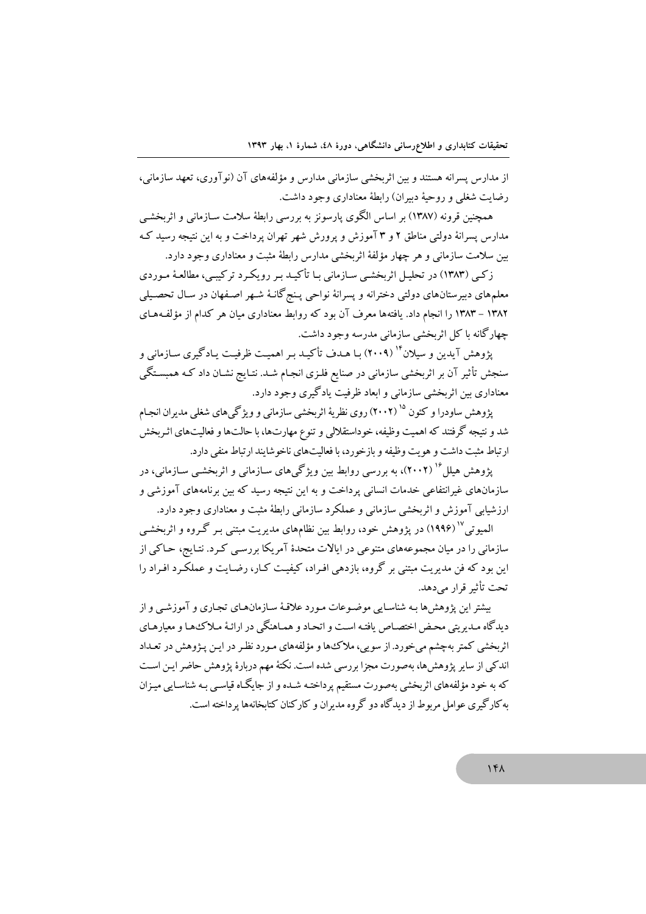از مدارس پسرانه هستند و بین اثربخشی سازمانی مدارس و مؤلفههای آن (نو آوری، تعهد سازمانی، رضایت شغلی و روحیهٔ دیپران) رابطهٔ معناداری وجود داشت.

همچنین قرونه (۱۳۸۷) بر اساس الگوی پارسونز به بررسی رابطهٔ سلامت سـازمانی و اثربخشـی مدارس پسرانهٔ دولتی مناطق ۲ و ۳ آموزش و پرورش شهر تهران پرداخت و به این نتیجه رسید ک بین سلامت سازمانی و هر چهار مؤلفهٔ اثربخشی مدارس رابطهٔ مثبت و معناداری وجود دارد.

زکبی (۱۳۸۳) در تحلیل اثربخشبی سازمانی بـا تأکیـد بـر رویکـرد ترکیبـی، مطالعـهٔ مـوردی معلمهای دبیرستانهای دولتی دخترانه و پسرانهٔ نواحی پـنج گانـهٔ شـهر اصـفهان در سـال تحصـیلی ۱۳۸۲ – ۱۳۸۳ را انجام داد. یافتهها معرف آن بود که روابط معناداری میان هر کدام از مؤلفـههـای چهارگانه با کل اثربخشی سازمانی مدرسه وجود داشت.

یژوهش آیدین و سیلان" (۲۰۰۹) بـا هـدف تأکیـد بـر اهمیـت ظرفیـت یـادگیری سـازمانی و سنجش تأثیر آن بر اثربخشی سازمانی در صنایع فلـزی انجـام شـد. نتـایج نشـان داد کـه همبسـتگی معناداري بين اثربخشي سازماني و ابعاد ظرفيت يادگيري وجود دارد.

یژوهش ساودرا و کئون <sup>۱۵</sup> (۲۰۰۲) روی نظریهٔ اثربخشی سازمانی و ویژگی های شغلی مدیران انجـام شد و نتیجه گرفتند که اهمیت وظیفه، خوداستقلالی و تنوع مهارتها، با حالتها و فعالیتهای اثـربخش ارتباط مثبت داشت و هويت وظيفه و بازخورد، با فعاليتهاى ناخو شايند ارتباط منفى دارد.

یژوهش هیلل ۱<sup>۶</sup> (۲۰۰۲)، به بررسی روابط بین ویژگی های سـازمانی و اثربخشـی سـازمانی، در سازمانهای غیرانتفاعی خدمات انسانی پرداخت و به این نتیجه رسید که بین برنامههای آموزشی و ارزشیابی آموزش و اثربخشی سازمانی و عملکرد سازمانی رابطهٔ مثبت و معناداری وجود دارد.

المبو تي <sup>۱۷</sup> (۱۹۹۶) در يژوهش خود، روابط بين نظامهاي مديريت مبتني بـر گـروه و اثربخشـي سازمانی را در میان مجموعههای متنوعی در ایالات متحدهٔ آمریکا بررسی کـرد. نتـایج، حـاکـی از این بود که فن مدیریت مبتنی بر گروه، بازدهی افـراد، کیفیـت کـار، رضـایت و عملکـرد افـراد را تحت تأثير قرار مي دهد.

بیشتر این یژوهش ها بـه شناسـایی موضـوعات مـورد علاقـهٔ سـازمان هـای تجـاری و آموزشـی و از دیدگاه مدیریتی محض اختصاص یافته است و اتحاد و هماهنگی در ارائهٔ ملاکهها و معیارهای اثربخشی کمتر بهچشم میخورد. از سویی، ملاک ها و مؤلفههای مـورد نظـر در ایـن پـژوهش در تعـداد اندکی از سایر پژوهش ها، بهصورت مجزا بررسی شده است. نکتهٔ مهم دربارهٔ پژوهش حاضر ایـن اسـت که به خود مؤلفههای اثربخشی بهصورت مستقیم یرداختـه شـده و از جایگـاه قیاسـم بـه شناسـابـ , مبـزان به کارگیری عوامل مربوط از دیدگاه دو گروه مدیران و کارکنان کتابخانهها پرداخته است.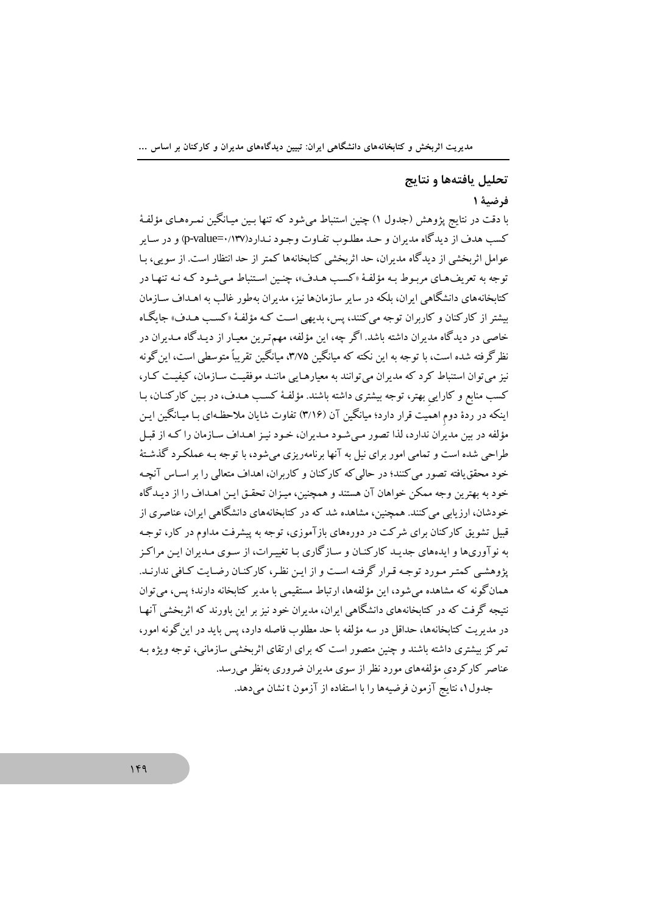مدیریت اثربخش و کتابخانههای دانشگاهی ایران: تبیین دیدگاههای مدیران و کارکنان بر اساس ...

#### تحليل يافتهها و نتايج

### فرضية ١

با دقت در نتايج يژوهش (جدول ۱) چنين استنباط مي شود كه تنها بـين ميـانگـين نمـرههـاي مؤلفـهٔ کسب هدف از دیدگاه مدیران و حـد مطلـوب تفـاوت وجـود نـدارد(۱۳۷/-p-value=۰/۱۳۷) و در سـایر عوامل اثربخشی از دیدگاه مدیران، حد اثربخشی کتابخانهها کمتر از حد انتظار است. از سویی، بـا توجه به تعریفهای مربوط بـه مؤلفـهٔ «کسـب هـدف»، چنـین اسـتنباط مـی شـود کـه نـه تنهـا در کتابخانههای دانشگاهی ایران، بلکه در سایر سازمانها نیز، مدیران بهطور غالب به اهـداف سـازمان بیشتر از کارکنان و کاربران توجه می کنند، پس، بدیهی است کـه مؤلفـهٔ «کسـب هـدف» جایگـاه .<br>خاصی در دیدگاه مدیران داشته باشد. اگر چه، این مؤلفه، مهم تـرین معیـار از دیـدگاه مـدیران در نظر گرفته شده است، با توجه به این نکته که میانگین ۳/۷۵، میانگین تقریباً متوسطی است، این گونه نیز میتوان استنباط کرد که مدیران میتوانند به معیارهـایی ماننـد موفقیـت سـازمان، کیفیـت کـار، کسب منابع و کارایی بهتر، توجه بیشتری داشته باشند. مؤلفهٔ کسب هـدف، در بـین کارکنـان، بـا اینکه در ردهٔ دوم اهمیت قرار دارد؛ میانگین آن (۳/۱۶) تفاوت شایان ملاحظهای بـا میـانگین ایـن مؤلفه در بین مدیران ندارد، لذا تصور مبی شـود مـدیران، خـود نیـز اهـداف سـازمان را کـه از قبـل طراحی شده است و تمامی امور برای نیل به آنها برنامهریزی میشود، با توجه بـه عملکـرد گذشـتهٔ خود محقق یافته تصور می کنند؛ در حالی که کارکنان و کاربران، اهداف متعالی را بر اسـاس آنچـه خود به بهترین وجه ممکن خواهان آن هستند و همچنین، میـزان تحقـق ایـن اهـداف را از دیـدگاه خودشان، ارزیابی می کنند. همچنین، مشاهده شد که در کتابخانههای دانشگاهی ایران، عناصری از قبیل تشویق کارکنان برای شرکت در دورههای بازآموزی، توجه به پیشرفت مداوم در کار، توجـه به نوآوریها و ایدههای جدیـد کارکنـان و سـازگاری بـا تغییـرات، از سـوی مـدیران ایـن مراکـز پژوهشی کمتر مورد توجه قرار گرفته است و از این نظر، کارکنـان رضـایت کـافی ندارنـد. همانگونه که مشاهده می شود، این مؤلفهها، ارتباط مستقیمی با مدیر کتابخانه دارند؛ پس، می توان نتیجه گرفت که در کتابخانههای دانشگاهی ایران، مدیران خود نیز بر این باورند که اثربخشی آنهـا در مدیریت کتابخانهها، حداقل در سه مؤلفه با حد مطلوب فاصله دارد، پس باید در این گونه امور، تمرکز بیشتری داشته باشند و چنین متصور است که برای ارتقای اثربخشی سازمانی، توجه ویژه بـه عناصر کارکردی مؤلفههای مورد نظر از سوی مدیران ضروری بهنظر میرسد. جدول ۱، نتايج آزمون فرضيهها را با استفاده از آزمون t نشان مىدهد.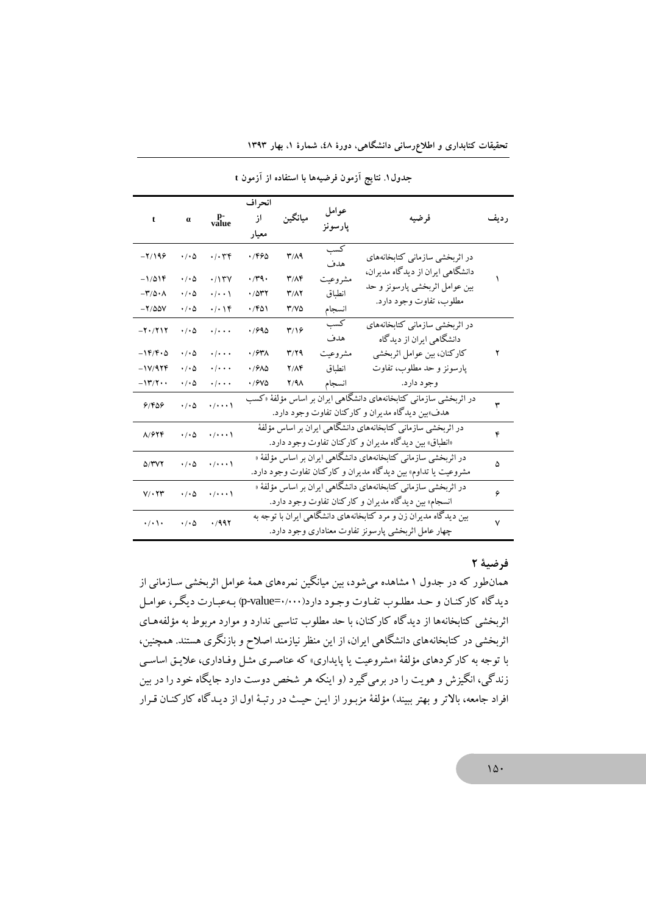| t                                         | $\pmb{\alpha}$             | p-<br>value                    | انحراف<br>از<br>معيار                                                                                                            | ميانگين       | عوامل<br>پارسونز | فرضيه                                                      | رديف         |
|-------------------------------------------|----------------------------|--------------------------------|----------------------------------------------------------------------------------------------------------------------------------|---------------|------------------|------------------------------------------------------------|--------------|
| $-7/199$                                  | $\cdot$ / $\cdot$ $\circ$  | .1.79                          | ۱/۴۶۵                                                                                                                            | T/A9          | كسب<br>هدف       | در اثربخشی سازمانی کتابخانههای                             |              |
| $-1/019$                                  | $\cdot/\cdot \Delta$       | .117V                          | $\cdot$ /۳۹ $\cdot$                                                                                                              | $T/\Lambda$ F | مشروعيت          | دانشگاهی ایران از دیدگاه مدیران،                           |              |
| $-\mathbf{r}/\mathbf{r} \cdot \mathbf{r}$ | $\cdot/\cdot \Delta$       | $\cdot/\cdot\cdot$             | .7077                                                                                                                            | <b>٣/٨٢</b>   | انطباق           | بین عوامل اثربخشی پارسونز و حد                             |              |
| $-Y/\Delta\Delta V$                       | $\cdot/\cdot \Delta$       | $\cdot/\cdot$ \ $\mathfrak{f}$ | ۰/۴۵۱                                                                                                                            | ۳/۷۵          | انسجام           | مطلوب، تفاوت وجود دارد.                                    |              |
| $-7.711$                                  | $\cdot$ / $\cdot$ $\Delta$ | $\cdot$ / $\cdot$ $\cdot$      | ۹۵۹۰.                                                                                                                            | ۳/۱۶          | كسب<br>هدف       | در اثربخشی سازمانی کتابخانههای<br>دانشگاهی ایران از دیدگاه |              |
| $-14.6$                                   | $\cdot/\cdot \Delta$       | $\cdot$ / $\cdot$ $\cdot$      | ٠/۶٣٨                                                                                                                            | $T/Y$ ۹       | مشر وعيت         | كاركنان، بين عوامل اثربخشي                                 | ۲            |
| $-11/979$                                 | $\cdot/\cdot \Delta$       | $\cdot$ / $\cdot$ $\cdot$      | ٠/۶٨۵                                                                                                                            | $Y/\Lambda$ ۴ | انطباق           | پارسونز و حد مطلوب، تفاوت                                  |              |
| $-11^{\circ}/7 \cdot \cdot$               | $\cdot/\cdot \Delta$       | $\cdot$ / $\cdot$ $\cdot$      | ٠/۶٧۵                                                                                                                            | $Y/9\Lambda$  | انسجام           | وجود دارد.                                                 |              |
| 91809                                     | $\cdot/\cdot \Delta$       | $\cdot/\cdot\cdot\cdot$        | در اثربخشی سازمانی کتابخانههای دانشگاهی ایران بر اساس مؤلفهٔ «کسب<br>هدف»بین دیدگاه مدیران و کارکنان تفاوت وجود دارد.            |               |                  |                                                            |              |
| 81974                                     | $\cdot$ / $\cdot$ $\Delta$ | $\cdot/\cdot\cdot\cdot$        | در اثربخشی سازمانی کتابخانههای دانشگاهی ایران بر اساس مؤلفهٔ<br>«انطباق» بین دیدگاه مدیران و کارکنان تفاوت وجود دارد.            |               |                  |                                                            | ۴            |
| <b>D/۳V٢</b>                              | $\cdot$ / $\cdot$ $\Delta$ | $\cdot/\cdot\cdot\cdot$        | در اثربخشی سازمانی کتابخانههای دانشگاهی ایران بر اساس مؤلفهٔ «<br>مشروعیت یا تداوم» بین دیدگاه مدیران و کارکنان تفاوت وجود دارد. |               |                  |                                                            | ۵            |
| $V/\cdot Y$ ۳                             | $\cdot$ / $\cdot$ $\Delta$ | $\cdot/\cdot\cdot\cdot$        | در اثربخشی سازمانی کتابخانههای دانشگاهی ایران بر اساس مؤلفهٔ «<br>انسجام» بین دیدگاه مدیران و کارکنان تفاوت وجود دارد.           |               |                  |                                                            | ۶            |
| $\cdot/\cdot$ \ $\cdot$                   | $\cdot$ / $\cdot$ $\Delta$ | .7997                          | بین دیدگاه مدیران زن و مرد کتابخانههای دانشگاهی ایران با توجه به<br>چهار عامل اثربخشی پارسونز تفاوت معناداری وجود دارد.          |               |                  |                                                            | $\checkmark$ |

جدول ١. نتايج أزمون فرضيهها با استفاده از أزمون t

تحقیقات کتابداری و اطلاعرسانی دانشگاهی، دورهٔ ٤٨، شمارهٔ ١، بهار ۱۳۹۳

### فرضية 2

همانطور که در جدول ۱ مشاهده میشود، بین میانگین نمرههای همهٔ عوامل اثربخشی سـازمانی از دیدگاه کارکنـان و حـد مطلـوب تفـاوت وجـود دارد(۰۰۰۰-p-value) بـهعبـارت دیگـر، عوامـل اثربخشی کتابخانهها از دیدگاه کارکنان، با حد مطلوب تناسبی ندارد و موارد مربوط به مؤلفههـای اثربخشی در کتابخانههای دانشگاهی ایران، از این منظر نیازمند اصلاح و بازنگری هستند. همچنین، با توجه به کارکردهای مؤلفهٔ «مشروعیت یا پایداری» که عناصری مثـل وفـاداری، علایـق اساسـی زندگی، انگیزش و هویت را در برمیگیرد (و اینکه هر شخص دوست دارد جایگاه خود را در بین افراد جامعه، بالاتر و بهتر ببیند) مؤلفهٔ مزبور از ایـن حیـث در رتبـهٔ اول از دیـدگاه کارکنـان قـرار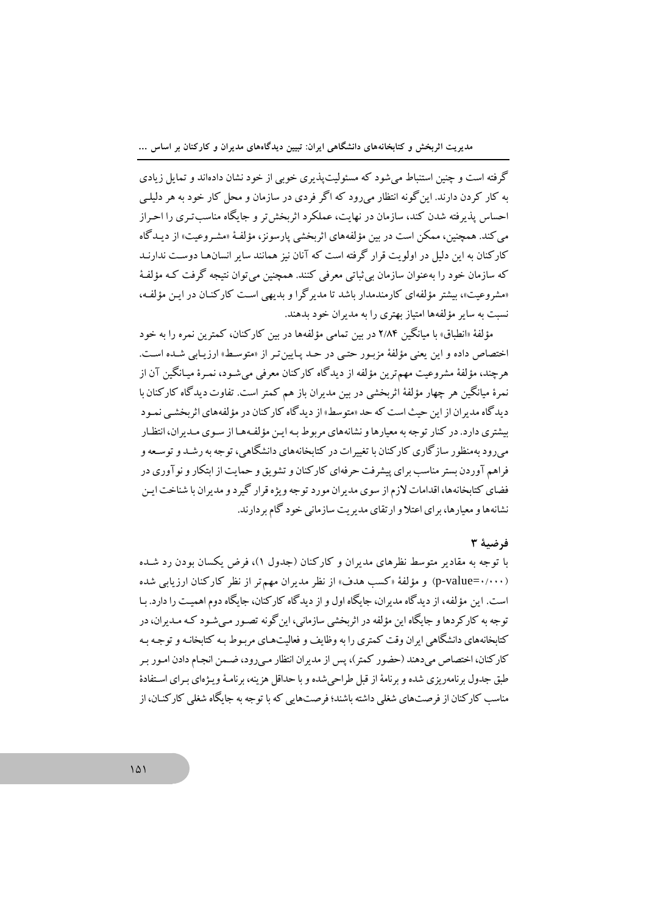گرفته است و چنین استنباط می شود که مسئولیت پذیری خوبی از خود نشان دادهاند و تمایل زیادی په کار کړ دن دارند. این گونه انتظار می(ود که اگر فردی در سازمان و محل کار خود په هر دلیلے احساس پذیرفته شدن کند، سازمان در نهایت، عملکرد اثریخش تر و جایگاه مناسب تبری را اجبراز می کند. همچنین، ممکن است در بین مؤلفههای اثربخشی پارسونز، مؤلفهٔ «مشـروعیت» از دیـدگاه کارکنان به این دلیل در اولو بت قرار گرفته است که آنان نیز همانند سایر انسانهبا دوست ندارنید که سازمان خود را بهعنوان سازمان بی ثباتی معرفی کنند. همچنین می توان نتیجه گرفت کـه مؤلفـهٔ «مشروعیت»، بیشتر مؤلفهای کارمندمدار باشد تا مدیرگرا و بدیهی است کارکنـان در ایـن مؤلفـه، نسبت به سایر مؤلفهها امتیاز بهتری را به مدیران خود بدهند.

مؤلفهٔ «انطباق» با میانگین ۲/۸۴ در بین تمامی مؤلفهها در بین کارکنان، کمترین نمره را به خود اختصاص داده و این یعنی مؤلفهٔ مزبـور حتـی در حـد پـایین تـر از «متوسـط» ارزیـابی شـده اسـت. هرچند، مؤلفهٔ مشروعیت مهم ترین مؤلفه از دیدگاه کارکنان معرفی می شـود، نمـرهٔ میـانگـبن آن از نمرهٔ میانگین هر چهار مؤلفهٔ اثربخشی در بین مدیران باز هم کمتر است. تفاوت دیدگاه کارکنان با د بد گاه مد ران از این حیث است که حد «متوسط» از دید گاه کار کنان در مؤلفههای اثر بخشبی نمیو د بیشتری دارد. در کنار توجه به معیارها و نشانههای مربوط بـه ایـن مؤلفـههـا از سـوی مـدیران، انتظـار می دود به منظور ساز گاری کار کنان با تغییرات در کتابخانههای دانشگاهی، توجه به رشید و توسیعه و فراهم آوردن بستر مناسب برای پیشرفت حرفهای کارکنان و تشویق و حمایت از ابتکار و نو آوری در فضای کتابخانهها، اقدامات لازم از سوی مدیران مورد توجه ویژه قرار گیرد و مدیران با شناخت ایـن نشانهها و معیارها، برای اعتلا و ارتقای مدیریت سازمانی خود گام بردارند.

### فرضية ٣

با توجه به مقادیر متوسط نظرهای مدیران و کارکنان (جدول ۱)، فرض یکسان بودن رد شـده (p-value=۰/۰۰۰) و مؤلفهٔ «کسب هدف» از نظر مدیران مهم تر از نظر کارکنان ارزیابی شده است. این مؤلفه، از دیدگاه مدیران، جایگاه اول و از دیدگاه کار کنان، جایگاه دوم اهمیت را دارد. با توجه به کارکردها و جایگاه این مؤلفه در اثربخشی سازمانی، این گونه تصـور مـی شـود کـه مـدیران، در کتابخانههای دانشگاهی ایران وقت کمتری را به وظایف و فعالیتهـای مربـوط بـه کتابخانـه و توجـه بـه كاركنان، اختصاص مى دهند (حضور كمتر)، پس از مديران انتظار مى رود، ضـمن انجـام دادن امـور بـر طبق جدول برنامهريزي شده و برنامهٔ از قبل طراحي شده و با حداقل هزينه، برنامـهٔ ويـژهاي بـراي اسـتفادهٔ مناسب کارکنان از فرصتهای شغلی داشته باشند؛ فرصتهایی که با توجه به جایگاه شغلی کارکنـان، از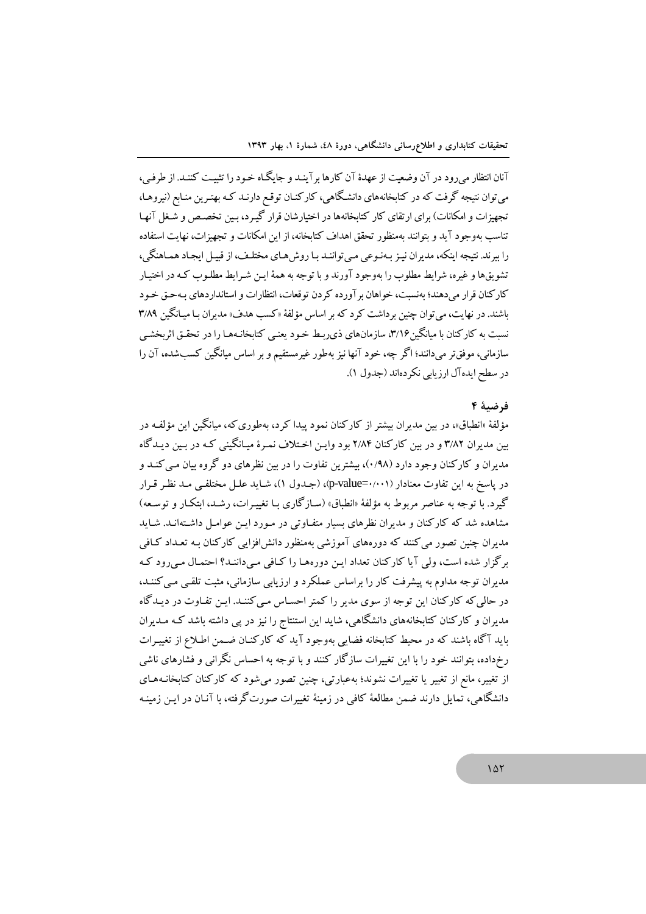آنان انتظار می رود در آن وضعیت از عهدهٔ آن کارها بر آینـد و جایگـاه خـود را تثبیـت کننـد. از طرفـی، می توان نتیجه گرفت که در کتابخانههای دانشگاهی، کارکنـان توقـع دارنـد کـه بهتـرین منـابع (نیروهـا، تجهیزات و امکانات) برای ارتقای کار کتابخانهها در اختیارشان قرار گیـرد، بـین تخصـص و شـغل آنهـا تناسب بهوجود آيد و بتوانند بهمنظور تحقق اهداف كتابخانه، از اين امكانات و تجهيزات، نهايت استفاده را ببرند. نتيجه اينكه، مديران نيـز بـهنـوعي مـي تواننـد بـا روش هـاي مختلـف، از قبيـل ايجـاد همـاهنگي، تشویقها و غیره، شرایط مطلوب را بهوجود آورند و با توجه به همهٔ ایـن شـرایط مطلـوب کـه در اختیـار کارکنان قرار می،دهند؛ بهنسبت، خواهان بر آورده کردن توقعات، انتظارات و استانداردهای بـهحـق خـود باشند. در نهایت، می توان چنین برداشت کرد که بر اساس مؤلفهٔ «کسب هدف» مدیران بـا میـانگین ۳/۸۹ نسبت به کارکنان با میانگین۷/۶٪ سازمانهای ذی ربط خـود یعنـی کتابخانـههـا را در تحقـق اثربخشـی سازماني، موفق تر مي دانند؛ اگر چه، خود آنها نيز بهطور غيرمستقيم و بر اساس ميانگين كســــشده، آن را در سطح ايده آل ارزيابي نكر دهاند (جدول ١).

#### فرضية ٤

مؤلفهٔ «انطباق»، در بین مدیران بیشتر از کارکنان نمود پیدا کرد، بهطوری که، میانگین این مؤلفه در بین مدیران ۳/۸۲ و در بین کارکنان ۲/۸۴ بود وایـن اخـتلاف نمـرهٔ میـانگینی کـه در بـین دیـدگاه مدیران و کارکنان وجود دارد (۰/۹۸)، بیشترین تفاوت را در بین نظرهای دو گروه بیان مبی کنید و در ياسخ به اين تفاوت معنادار (p-value=۰/۰۰۱)، (جـدول ۱)، شـايد علـل مختلفـي مـد نظـر قـرار گیرد. با توجه به عناصر مربوط به مؤلفهٔ «انطباق» (سیاز گاری بیا تغییرات، رشید، ابتکار و توسیعه) .<br>مشاهده شد که کارکنان و مدیران نظرهای بسیار متفـاوتی در مـورد ایـن عوامـل داشـتهانـد. شـاید مدیران چنین تصور می کنند که دورههای آموزشی بهمنظور دانش افزایی کارکنان بـه تعـداد کـافی برگزار شده است، ولی آیا کارکنان تعداد ایـن دورههـا را کـافی مـیداننـد؟ احتمـال مـی رود کـه مدیران توجه مداوم به پیشرفت کار را براساس عملکرد و ارزیابی سازمانی، مثبت تلقبی مبی کننـد، در حالی که کارکنان این توجه از سوی مدیر را کمتر احساس مبی کننـد. ایـن تفـاوت در دیـدگاه مدیران و کارکنان کتابخانههای دانشگاهی، شاید این استنتاج را نیز در پی داشته باشد کـه مـدیران باید آگاه باشند که در محیط کتابخانه فضایی بهوجود آید که کارکنـان ضـمن اطـلاع از تغییـرات رخداده، بتوانند خود را با این تغییرات سازگار کنند و با توجه به احساس نگرانی و فشارهای ناشی از تغییر، مانع از تغییر یا تغییرات نشوند؛ بهعبارتی، چنین تصور میشود که کارکنان کتابخانـههـای دانشگاهی، تمایل دارند ضمن مطالعهٔ کافی در زمینهٔ تغییرات صورتگرفته، با آنـان در ایـن زمینـه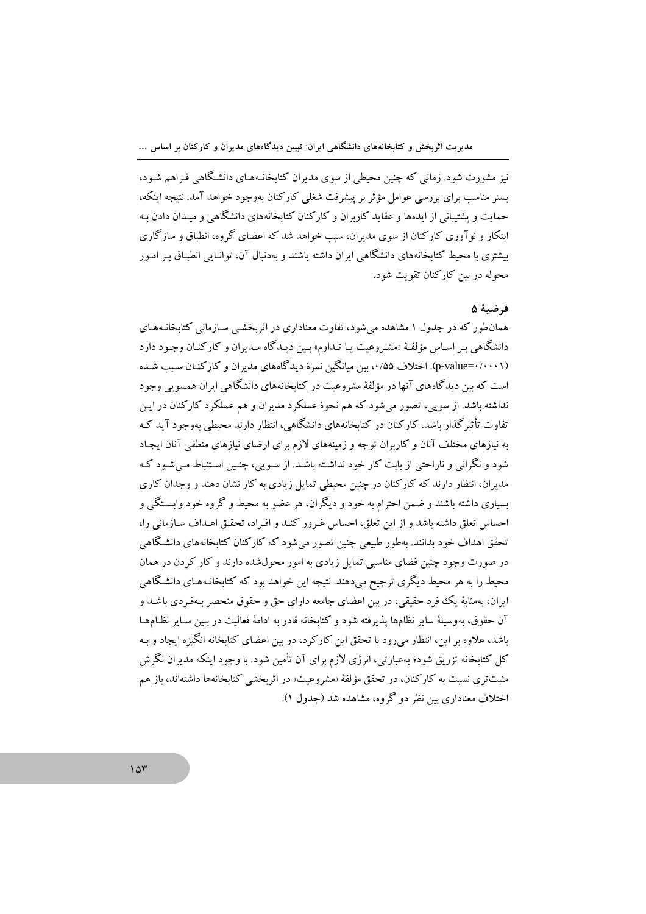نیز مشورت شود. زمانی که چنین محیطی از سوی مدیران کتابخانـههـای دانشـگاهی فـراهم شـود، ستر مناسب برای بررسی عوامل مؤثر بر پیشرفت شغلی کارکنان بهوجود خواهد آمد. نتیجه اینکه، حمایت و پشتیبانی از ایدهها و عقاید کاربران و کارکنان کتابخانههای دانشگاهی و میدان دادن به ابتکار و نو آوری کارکنان از سوی مدیران، سبب خواهد شد که اعضای گروه، انطباق و سازگاری پشتری با محیط کتابخانههای دانشگاهی ایران داشته باشند و بهدنبال آن، توانیایی انطباق به امبور محوله در بين كاركنان تقويت شود.

# ف ضيهٔ ۵

همان طور که در حدول ۱ مشاهده مرشود، تفاوت معناداری در اثریخشب سیازمانی کتابخانیههای دانشگاهی بـر اسـاس مؤلفـهٔ «مشـروعیت یـا تـداوم» بـین دیـدگاه مـدیران و کارکنـان وجـود دارد (p-value=۰/۰۰۰۱). اختلاف ۰/۵۵، مین مبانگین نمرهٔ دیدگاههای مدیران و کارکنان سبب شده است که بین دیدگاههای آنها در مؤلفهٔ مشروعیت در کتابخانههای دانشگاهی ایران همسویی وجود نداشته باشد. از سویی، تصور می شود که هم نحوهٔ عملکرد مدیران و هم عملکرد کارکنان در ایـن تفاوت تأثیر گذار باشد. کارکنان در کتابخانههای دانشگاهی، انتظار دارند محیطی بهوجود آید ک به نیازهای مختلف آنان و کاربران توجه و زمینههای لازم برای ارضای نیازهای منطقی آنان ایجاد شود و نگرانی و ناراحتی از بابت کار خود نداشته باشید. از سویی، چنین استنباط می شود ک مدران، انتظار دارند که کارکنان در چنین محیطی تمایل زیادی به کار نشان دهند و وجدان کاری سباری داشته باشند و ضمن احترام به خود و دیگران، هر عضو به محیط و گروه خود وابستگی و احساس تعلق داشته باشد و از این تعلق، احساس غـرور کنـد و افـراد، تحقـق اهـداف سـازمانی را، .<br>تحقق اهداف خود بدانند. بهطور طبیعی چنین تصور میشود که کارکنان کتابخانههای دانشگاه<sub>ه ،</sub> در صورت وجود چنین فضای مناسبی تمایل زیادی به امور محولشده دارند و کار کردن در همان محیط را به هر محیط دیگری ترجیح می،دهند. نتیجه این خواهد بود که کتاىخانـههـای دانشـگاهـ ِ ایران، بهمثابهٔ یک فرد حقیقی، در بین اعضای جامعه دارای حق و حقوق منحصر بـهفـردی ىاشــد و آن حقوق، بهوسيلهٔ ساير نظامها يذيرفته شود و كتابخانه قادر به ادامهٔ فعاليت در بـين سـاير نظـامهـا باشد، علاوه بر این، انتظار می رود با تحقق این کارکرد، در بین اعضای کتابخانه انگیزه ایجاد و بـه کل کتابخانه تزریق شود؛ بهعبارتی، انرژی لازم برای آن تأمین شود. با وجود اینکه مدیران نگرش مثبت تری نسبت به کارکنان، در تحقق مؤلفهٔ «مشروعیت» در اثربخشی کتابخانهها داشتهاند، باز هم اختلاف معناداری سن نظر دو گروه، مشاهده شد (جدول ۱).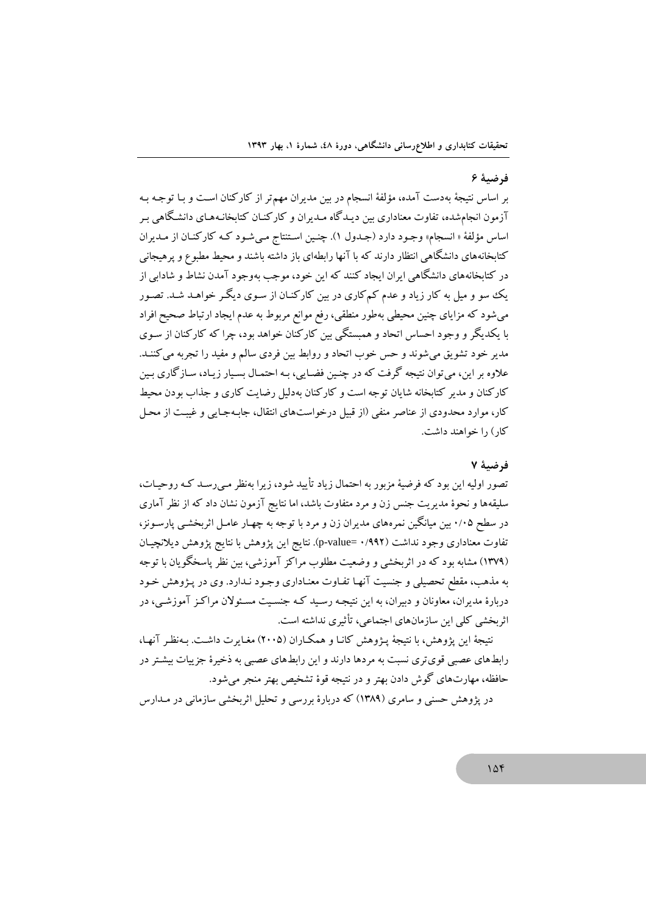#### فرضية ۶

بر اساس نتیجهٔ بهدست آمده، مؤلفهٔ انسجام در بین مدیران مهمتر از کارکنان است و بـا توجـه بـه آزمون انجامشده، تفاوت معناداری بین دیـدگاه مـدیران و کارکنــان کتابخانــههـای دانشـگاهی بـر اساس مؤلفة « انسجام» وجـود دارد (جـدول ١). چنـين اسـتنتاج مـي شـود كـه كاركنـان از مـديران کتابخانههای دانشگاهی انتظار دارند که با آنها رابطهای باز داشته باشند و محبط مطبوع و پرهبجانی در کتابخانههای دانشگاهی ایران ایجاد کنند که این خود، موجب بهوجود آمدن نشاط و شادابی از یک سو و میل به کار زیاد و عدم کم کاری در بین کارکنـان از سـوی دیگـر خواهـد شـد. تصـور می شود که مزایای چنین محیطی بهطور منطقی، رفع موانع مربوط به عدم ایجاد ارتباط صحیح افراد با یکدیگر و وجود احساس اتحاد و همبستگی بین کارکنان خواهد بود، چرا که کارکنان از سـوی مدير خود تشويق مي شوند و حس خوب اتحاد و روابط بين فردي سالم و مفيد را تجربه مي كننـد. علاوه بر این، می توان نتبجه گرفت که در چنین فضایی، بـه احتمـال بسـیار زیـاد، سـازگاری بـین کارکنان و مدیر کتابخانه شایان توجه است و کارکنان بهدلیل رضایت کاری و جذاب بودن محیط کار، موارد محدودی از عناصر منفی (از قبیل درخواستهای انتقال، جابـهجـایی و غیبـت از محـل کار ) را خواهند داشت.

#### فرضية ٧

تصور اولیه این بود که فرضیهٔ مزبور به احتمال زیاد تأیید شود، زیرا بهنظر مـی(سـد کـه روحیـات، سلیقهها و نحوهٔ مدیریت جنس زن و مرد متفاوت باشد، اما نتایج آزمون نشان داد که از نظر آماری در سطح ۰/۰۵ بین میانگین نمرههای مدیران زن و مرد با توجه به چهـار عامـل اثربخشـی پارسـونز، تفاوت معناداري وجود نداشت (۰/۹۹۲ =p-value). نتايج اين پژوهش با نتايج پژوهش ديلانچيان (۱۳۷۹) مشابه بود که در اثربخشی و وضعیت مطلوب مراکز آموزشی، بین نظر پاسخگویان با توجه به مذهب، مقطع تحصیلی و جنسیت آنهـا تفـاوت معنـاداری وجـود نـدارد. وی در پـژوهش خـود دربارهٔ مدیران، معاونان و دیبران، به این نتیجـه رسـبد کـه جنسـیت مسـئولان مراکـز آموزشـی، در اثر بخشی کلی این سازمانهای اجتماعی، تأثیری نداشته است.

نتبجهٔ این پژوهش، ما نتیجهٔ پیژوهش کانیا و همکیاران (۲۰۰۵) مغیابرت داشت. پەنظیر آنها، رابطهای عصبی قوی تری نسبت به مردها دارند و این رابطهای عصبی به ذخیرهٔ جزیبات بیشتر در حافظه، مهارتهاي گوش دادن بهتر و در نتيجه قوهٔ تشخيص بهتر منجر مي شود.

در پژوهش حسنی و سامری (۱۳۸۹) که دربارهٔ بررسی و تحلیل اثریخشی سازمانی در مـدارس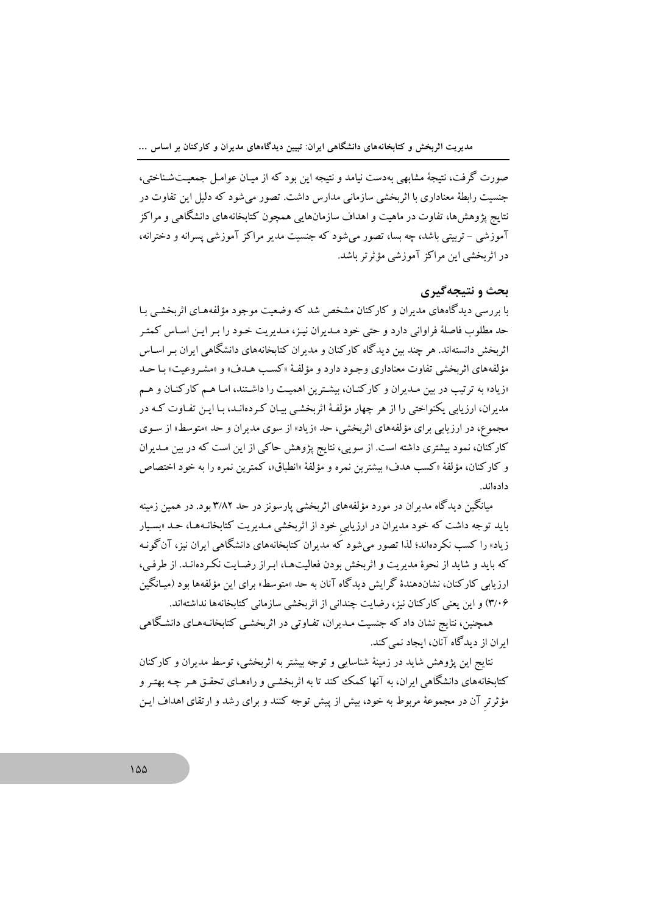صورت گرفت، نتیجهٔ مشابهی بهدست نیامد و نتیجه این بود که از میـان عوامـل جمعیـتشـناختی، جنسیت رابطهٔ معناداری با اثربخشی سازمانی مدارس داشت. تصور می شود که دلیل این تفاوت در نتایج پژوهشها، تفاوت در ماهیت و اهداف سازمانهایی همچون کتابخانههای دانشگاهی و مراکز آموزشي – تربيتي باشد، چه بسا، تصور مي شود كه جنسيت مدير مراكز آموزشي پسرانه و دخترانه، در اثریخشے این مراکز آموزشے مؤثرتر باشد.

# بحث و نتیجهگیری

با بررسی دیدگاههای مدیران و کارکنان مشخص شد که وضعیت موجود مؤلفههـای اثربخشـی بـا حد مطلوب فاصلهٔ فراوانی دارد و حتی خود مـدیران نیـز، مـدیریت خـود را بـر ایـن اسـاس كمتـر اثربخش دانستهاند. هر چند بین دیدگاه کارکنان و مدیران کتابخانههای دانشگاهی ایران بـر اسـاس مؤلفههای اثربخشی تفاوت معناداری وجـود دارد و مؤلفـهٔ «کسـب هـدف» و «مشـروعیت» بـا حـد «زیاد» به ترتیب در بین مـدیران و کارکنـان، بیشـترین اهمیـت را داشـتند، امـا هـم کارکنـان و هـم مدیران، ارزیابی یکنواختی را از هر چهار مؤلفـهٔ اثربخشـی بیـان کـردهانـد، بـا ایـن تفـاوت کـه در مجموع، در ارزيابي براي مؤلفههاي اثربخشي، حد «زياد» از سوي مديران و حد «متوسط» از سـوي کارکنان، نمود بیشتری داشته است. از سویی، نتایج پژوهش حاکی از این است که در بین مـدیران و كاركنان، مؤلفة «كسب هدف» بيشترين نمره و مؤلفة «انطباق»، كمترين نمره را به خود اختصاص دادەاند.

میانگین دیدگاه مدیران در مورد مؤلفههای اثربخشی پارسونز در حد ۳/۸۲ بود. در همین زمینه باید توجه داشت که خود مدیران در ارزیابی خود از اثربخشی مـدیریت کتابخانـههـا، حـد «بسـیار زیاد» را کسب نکردهاند؛ لذا تصور می شود که مدیران کتابخانههای دانشگاهی ایران نیز، آن گونـه که باید و شاید از نحوهٔ مدیریت و اثریخش بودن فعالیتهها، ایراز رضایت نک دهانید. از طرفی، ارزیابی کارکنان، نشاندهندهٔ گرایش دیدگاه آنان به حد «متوسط» برای این مؤلفهها بود (میـانگین ۳/۰۶) و این یعنی کارکنان نیز، رضایت چندانی از اثربخشی سازمانی کتابخانهها نداشتهاند.

همچنین، نتایج نشان داد که جنسیت مـدیران، تفـاوتی در اثربخشـی کتابخانـههـای دانشـگاهی ابران از دیدگاه آنان، ایجاد نمی کند.

نتایج این یژوهش شاید در زمینهٔ شناسایی و توجه بیشتر به اثربخشی، توسط مدیران و کارکنان کتابخانههای دانشگاهی ایران، به آنها کمک کند تا به اثربخشبی و راههای تحقـق هـر چـه بهتـر و مؤثرتر آن در مجموعهٔ مربوط به خود، بیش از پیش توجه کنند و برای رشد و ارتقای اهداف ایـن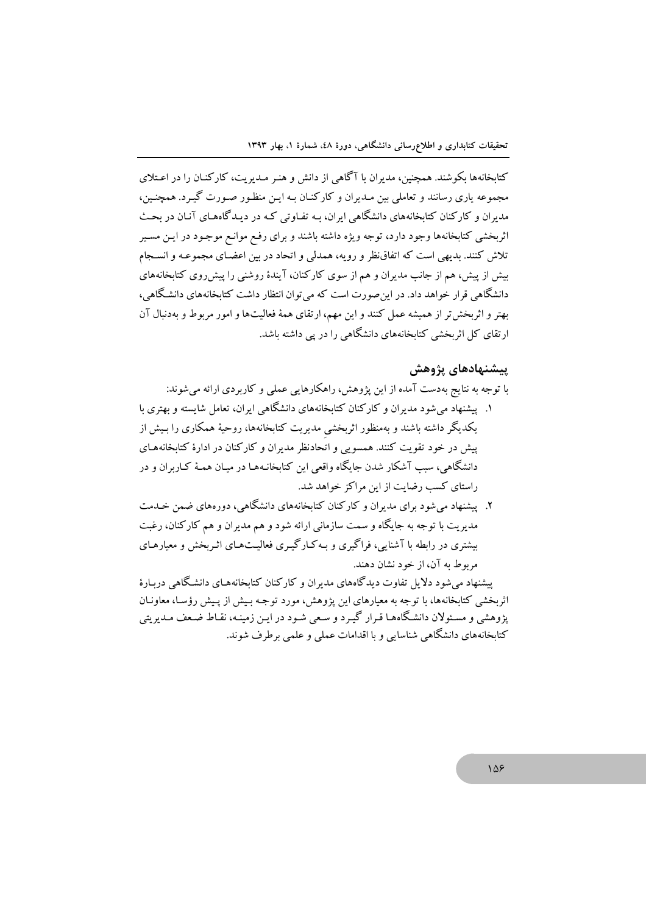کتابخانهها بکوشند. همچنین، مدیران با آگاهی از دانش و هنـر مـدیریت، کارکنـان را در اعـتلای مجموعه یاری رسانند و تعاملی بین مـدیران و کارکنـان بـه ایــن منظـور صــورت گیــرد. همچنــبن، مدیران و کارکنان کتابخانههای دانشگاهی ایران، بـه تفـاوتی کـه در دیـدگاههـای آنـان در ىحـث اثربخشی کتابخانهها وجود دارد، توجه ویژه داشته باشند و برای رفع موانـع موجـود در ایـن مسـیر تلاش کنند. بدیهی است که اتفاق نظر و رویه، همدلی و اتحاد در بین اعضـای مجموعـه و انسـجام بیش از پیش، هم از جانب مدیران و هم از سوی کارکنان، آیندهٔ روشنی را پیش روی کتابخانههای دانشگاهی قرار خواهد داد. در این صورت است که می توان انتظار داشت کتابخانههای دانشگاهی، بهتر و اثربخش تر از همیشه عمل کنند و این مهم، ارتقای همهٔ فعالیتها و امور مربوط و بهدنبال آن ارتقای کل اثربخشی کتابخانههای دانشگاهی را در یی داشته باشد.

## ييشنهادهاي يژوهش

با توجه به نتایج بهدست آمده از این پژوهش، راهکارهایی عملی و کاربر دی ارائه می شوند:

۱. پیشنهاد می شود مدیران و کارکنان کتابخانههای دانشگاهی ایران، تعامل شابسته و بهتری با یکدیگر داشته باشند و بهمنظور اثربخشی مدیریت کتابخانهها، روحیهٔ همکاری را بـیش از یش در خود تقویت کنند. همسویی و اتحادنظر مدیران و کارکنان در ادارهٔ کتابخانههای دانشگاهی، سبب آشکار شدن جایگاه واقعی این کتابخانـههـا در میـان همـهٔ کـاربران و در راستای کسب رضایت از این مراکز خواهد شد.

۲. پیشنهاد می شود برای مدیران و کارکنان کتابخانههای دانشگاهی، دورههای ضمن خـدمت مدیریت با توجه به جایگاه و سمت سازمانی ارائه شود و هم مدیران و هم کارکنان، رغبت بیشتری در رابطه با آشنایی، فراگیری و په کیار گیری فعالیتههای اثیربخش و معیارهیای مربوط به آن، از خود نشان دهند.

پیشنهاد می شود دلایل تفاوت دیدگاههای مدیران و کارکنان کتابخانههـای دانشگاهی دربـارهٔ اثربخشی کتابخانهها، با توجه به معیارهای این یژوهش، مورد توجـه بـیش از پـیش رؤسـا، معاونـان پژوهشی و مسئولان دانشگاههـا قـرار گیـرد و سـعی شـود در ایـن زمینـه، نقـاط ضـعف مـدیریتی کتاىخانەهاى دانشگاهى شناسايى و با اقدامات عملى و علمى برطرف شوند.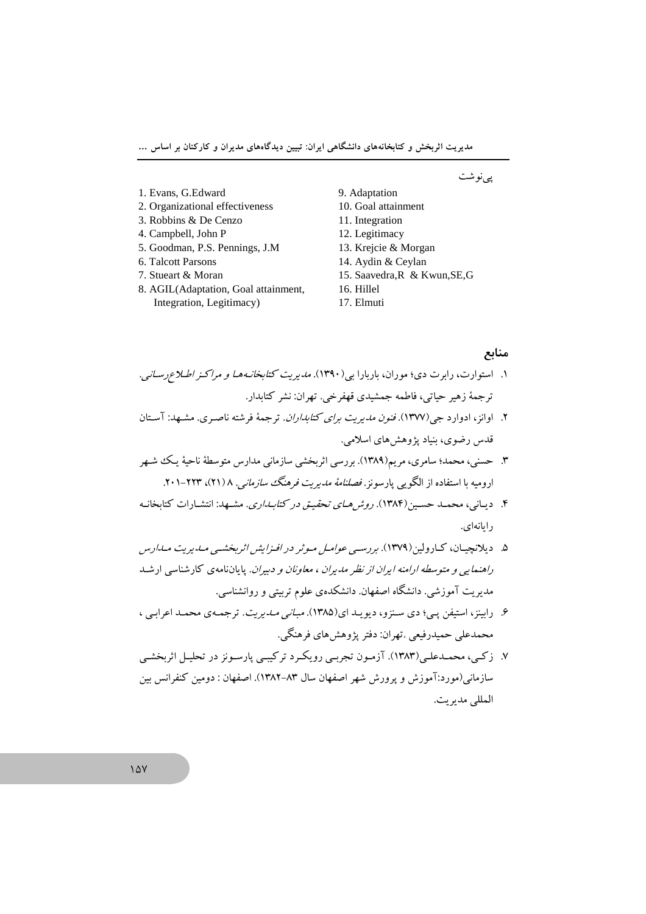پىنوشت

- 1. Evans, G.Edward
- 2. Organizational effectiveness 3. Robbins & De Cenzo
- 4. Campbell, John P
- 5. Goodman, P.S. Pennings, J.M
- 6. Talcott Parsons
- 7. Stueart & Moran
- 8. AGIL(Adaptation, Goal attainment, Integration, Legitimacy)

10. Goal attainment

9. Adaptation

- 11. Integration
- 12. Legitimacy
- 13. Krejcie & Morgan
- 14. Aydin & Ceylan
- 15. Saavedra, R & Kwun, SE, G
- 16. Hillel
- 17. Elmuti

### منابع

- ۱. استوارت، رابرت دی؛ موران، باربارا بی(۱۳۹۰). *مدیریت کتابخانـههـا و مراکـز اطـلاع رسـاني.* ترجمهٔ زهير حياتي، فاطمه جمشيدي قهفر خي. تهران: نشر كتابدار.
- ۲. اوانز، ادوارد جی(۱۳۷۷). *فنون مدیریت برای کتابداران*. ترجمهٔ فرشته ناصری. مشهد: آستان قدس رضوي، بنياد پژوهشهاي اسلامي.
- ۳. حسنی، محمد؛ سامری، مریم(۱۳۸۹). بررسی اثربخشی سازمانی مدارس متوسطهٔ ناحیهٔ یک شهر ارومیه با استفاده از الگویی پارسونز. *فصلنامهٔ مدیریت فرهنگ سازمانی. ۱*(۲۱)، ۲۲۳-۲۰۱.
- ۴. ديباني، محميد حسين(۱۳۸۴). *روش هياي تحقيـق در كتابـداري*. مشـهد: انتشـارات كتابخانـه د ايانەاي.
- ۵. دیلانچیسان، کیارولین(۱۳۷۹). بررسه ب*عوامل میوثر در افیزایش اثربخشه، میدی*ری*ت میداد*یس راهنمایی و متوسطه ارامنه ایران از نظر مدیران ، مع*اونان و دبیران*. پایان نامهی کارشناسی ارشد مدیریت آموزشی. دانشگاه اصفهان. دانشکدهی علوم تربیتی و روانشناسی.
- ۶. رابینز، استیفن یبی؛ دی سنزو، دیویید ای(۱۳۸۵). *مبانی مبدیریت*. ترجمه ی محمله اعرابی ، محمدعلي حميدرفيعي .تهران: دفتر پژوهشهاي فرهنگم ٍ.
- ۷. زکمی، محمـدعلـی(۱۳۸۳). آزمـون تجربـی رویکـرد ترکیبـی پارسـونز در تحليـل اثربخشـي سازمانی(مورد:آموزش و پرورش شهر اصفهان سال ۸۳–۱۳۸۲). اصفهان : دومین کنفرانس ببن المللي مدبريت.